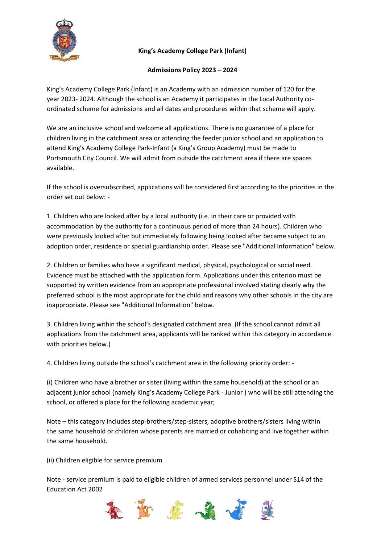

## **King's Academy College Park (Infant)**

## **Admissions Policy 2023 – 2024**

King's Academy College Park (Infant) is an Academy with an admission number of 120 for the year 2023- 2024. Although the school is an Academy it participates in the Local Authority coordinated scheme for admissions and all dates and procedures within that scheme will apply.

We are an inclusive school and welcome all applications. There is no guarantee of a place for children living in the catchment area or attending the feeder junior school and an application to attend King's Academy College Park-Infant (a King's Group Academy) must be made to Portsmouth City Council. We will admit from outside the catchment area if there are spaces available.

If the school is oversubscribed, applications will be considered first according to the priorities in the order set out below: -

1. Children who are looked after by a local authority (i.e. in their care or provided with accommodation by the authority for a continuous period of more than 24 hours). Children who were previously looked after but immediately following being looked after became subject to an adoption order, residence or special guardianship order. Please see "Additional Information" below.

2. Children or families who have a significant medical, physical, psychological or social need. Evidence must be attached with the application form. Applications under this criterion must be supported by written evidence from an appropriate professional involved stating clearly why the preferred school is the most appropriate for the child and reasons why other schools in the city are inappropriate. Please see "Additional Information" below.

3. Children living within the school's designated catchment area. (If the school cannot admit all applications from the catchment area, applicants will be ranked within this category in accordance with priorities below.)

4. Children living outside the school's catchment area in the following priority order: -

(i) Children who have a brother or sister (living within the same household) at the school or an adjacent junior school (namely King's Academy College Park - Junior ) who will be still attending the school, or offered a place for the following academic year;

Note – this category includes step-brothers/step-sisters, adoptive brothers/sisters living within the same household or children whose parents are married or cohabiting and live together within the same household.

(ii) Children eligible for service premium

Note - service premium is paid to eligible children of armed services personnel under S14 of the Education Act 2002

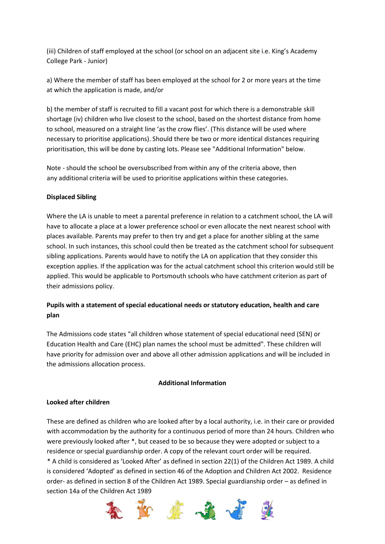(iii) Children of staff employed at the school (or school on an adjacent site i.e. King's Academy College Park - Junior)

a) Where the member of staff has been employed at the school for 2 or more years at the time at which the application is made, and/or

b) the member of staff is recruited to fill a vacant post for which there is a demonstrable skill shortage (iv) children who live closest to the school, based on the shortest distance from home to school, measured on a straight line 'as the crow flies'. (This distance will be used where necessary to prioritise applications). Should there be two or more identical distances requiring prioritisation, this will be done by casting lots. Please see "Additional Information" below.

Note - should the school be oversubscribed from within any of the criteria above, then any additional criteria will be used to prioritise applications within these categories.

## **Displaced Sibling**

Where the LA is unable to meet a parental preference in relation to a catchment school, the LA will have to allocate a place at a lower preference school or even allocate the next nearest school with places available. Parents may prefer to then try and get a place for another sibling at the same school. In such instances, this school could then be treated as the catchment school for subsequent sibling applications. Parents would have to notify the LA on application that they consider this exception applies. If the application was for the actual catchment school this criterion would still be applied. This would be applicable to Portsmouth schools who have catchment criterion as part of their admissions policy.

# **Pupils with a statement of special educational needs or statutory education, health and care plan**

The Admissions code states "all children whose statement of special educational need (SEN) or Education Health and Care (EHC) plan names the school must be admitted". These children will have priority for admission over and above all other admission applications and will be included in the admissions allocation process.

#### **Additional Information**

## **Looked after children**

These are defined as children who are looked after by a local authority, i.e. in their care or provided with accommodation by the authority for a continuous period of more than 24 hours. Children who were previously looked after \*, but ceased to be so because they were adopted or subject to a residence or special guardianship order. A copy of the relevant court order will be required. \* A child is considered as 'Looked After' as defined in section 22(1) of the Children Act 1989. A child is considered 'Adopted' as defined in section 46 of the Adoption and Children Act 2002. Residence order- as defined in section 8 of the Children Act 1989. Special guardianship order – as defined in section 14a of the Children Act 1989

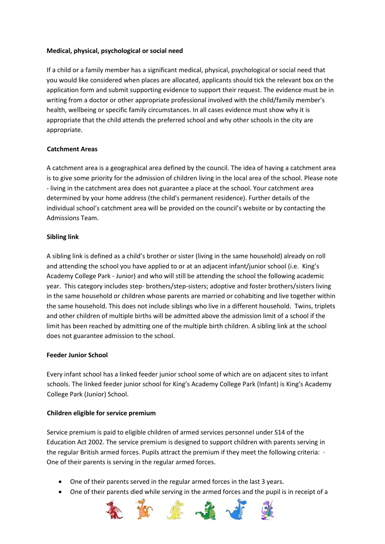### **Medical, physical, psychological or social need**

If a child or a family member has a significant medical, physical, psychological or social need that you would like considered when places are allocated, applicants should tick the relevant box on the application form and submit supporting evidence to support their request. The evidence must be in writing from a doctor or other appropriate professional involved with the child/family member's health, wellbeing or specific family circumstances. In all cases evidence must show why it is appropriate that the child attends the preferred school and why other schools in the city are appropriate.

## **Catchment Areas**

A catchment area is a geographical area defined by the council. The idea of having a catchment area is to give some priority for the admission of children living in the local area of the school. Please note - living in the catchment area does not guarantee a place at the school. Your catchment area determined by your home address (the child's permanent residence). Further details of the individual school's catchment area will be provided on the council's website or by contacting the Admissions Team.

### **Sibling link**

A sibling link is defined as a child's brother or sister (living in the same household) already on roll and attending the school you have applied to or at an adjacent infant/junior school (i.e. King's Academy College Park - Junior) and who will still be attending the school the following academic year. This category includes step- brothers/step-sisters; adoptive and foster brothers/sisters living in the same household or children whose parents are married or cohabiting and live together within the same household. This does not include siblings who live in a different household. Twins, triplets and other children of multiple births will be admitted above the admission limit of a school if the limit has been reached by admitting one of the multiple birth children. A sibling link at the school does not guarantee admission to the school.

#### **Feeder Junior School**

Every infant school has a linked feeder junior school some of which are on adjacent sites to infant schools. The linked feeder junior school for King's Academy College Park (Infant) is King's Academy College Park (Junior) School.

## **Children eligible for service premium**

Service premium is paid to eligible children of armed services personnel under S14 of the Education Act 2002. The service premium is designed to support children with parents serving in the regular British armed forces. Pupils attract the premium if they meet the following criteria: ∙ One of their parents is serving in the regular armed forces.

- One of their parents served in the regular armed forces in the last 3 years.
- One of their parents died while serving in the armed forces and the pupil is in receipt of a

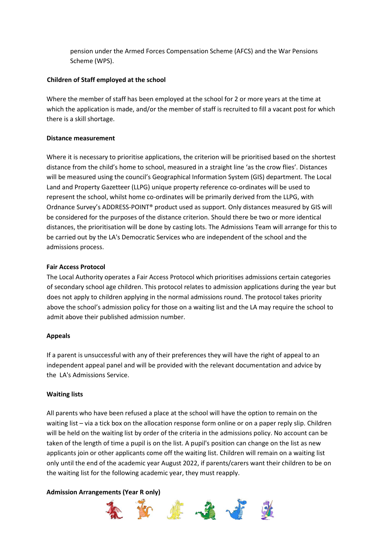pension under the Armed Forces Compensation Scheme (AFCS) and the War Pensions Scheme (WPS).

## **Children of Staff employed at the school**

Where the member of staff has been employed at the school for 2 or more years at the time at which the application is made, and/or the member of staff is recruited to fill a vacant post for which there is a skill shortage.

## **Distance measurement**

Where it is necessary to prioritise applications, the criterion will be prioritised based on the shortest distance from the child's home to school, measured in a straight line 'as the crow flies'. Distances will be measured using the council's Geographical Information System (GIS) department. The Local Land and Property Gazetteer (LLPG) unique property reference co-ordinates will be used to represent the school, whilst home co-ordinates will be primarily derived from the LLPG, with Ordnance Survey's ADDRESS-POINT® product used as support. Only distances measured by GIS will be considered for the purposes of the distance criterion. Should there be two or more identical distances, the prioritisation will be done by casting lots. The Admissions Team will arrange for this to be carried out by the LA's Democratic Services who are independent of the school and the admissions process.

## **Fair Access Protocol**

The Local Authority operates a Fair Access Protocol which prioritises admissions certain categories of secondary school age children. This protocol relates to admission applications during the year but does not apply to children applying in the normal admissions round. The protocol takes priority above the school's admission policy for those on a waiting list and the LA may require the school to admit above their published admission number.

# **Appeals**

If a parent is unsuccessful with any of their preferences they will have the right of appeal to an independent appeal panel and will be provided with the relevant documentation and advice by the LA's Admissions Service.

# **Waiting lists**

All parents who have been refused a place at the school will have the option to remain on the waiting list – via a tick box on the allocation response form online or on a paper reply slip. Children will be held on the waiting list by order of the criteria in the admissions policy. No account can be taken of the length of time a pupil is on the list. A pupil's position can change on the list as new applicants join or other applicants come off the waiting list. Children will remain on a waiting list only until the end of the academic year August 2022, if parents/carers want their children to be on the waiting list for the following academic year, they must reapply.

## **Admission Arrangements (Year R only)**